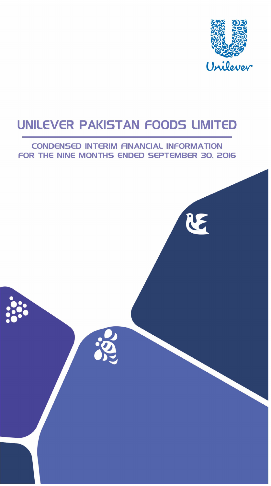

# **CONDENSED INTERIM FINANCIAL INFORMATION** FOR THE NINE MONTHS ENDED SEPTEMBER 30, 2016

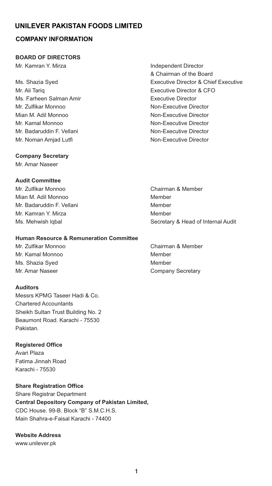# **COMPANY INFORMATION**

#### **BOARD OF DIRECTORS**

Mr. Kamran Y. Mirza **Independent Director** 

Mr. Ali Tariq Executive Director & CFO Ms. Farheen Salman Amir **Executive Director** Mr. Zulfikar Monnoo Non-Executive Director Mian M. Adil Monnoo Non-Executive Director Mr. Kamal Monnoo Non-Executive Director Mr. Badaruddin F. Vellani Non-Executive Director Mr. Noman Amiad Lutfi Non-Executive Director

# & Chairman of the Board Ms. Shazia Syed Executive Director & Chief Executive

#### **Company Secretary**

Mr. Amar Naseer

#### **Audit Committee**

Mr. Zulfikar Monnoo Chairman & Member Mian M. Adil Monnoo Member Mr. Badaruddin F. Vellani Member Mr. Kamran Y. Mirza **Miramora America America America** Member

#### **Human Resource & Remuneration Committee**

Mr. Kamal Monnoo Member Ms. Shazia Syed Member Mr. Amar Naseer **Company Secretary** 

#### **Auditors**

Messrs KPMG Taseer Hadi & Co. Chartered Accountants Sheikh Sultan Trust Building No. 2 Beaumont Road. Karachi - 75530 Pakistan.

# **Registered Office**

Avari Plaza Fatima Jinnah Road Karachi - 75530

**Share Registration Office**

Share Registrar Department **Central Depository Company of Pakistan Limited,** CDC House. 99-B. Block "B" S.M.C.H.S. Main Shahra-e-Faisal Karachi - 74400

**Website Address** www.unilever.pk

Ms. Mehwish Iqbal **Mature 2018** Secretary & Head of Internal Audit

Mr. Zulfikar Monnoo Chairman & Member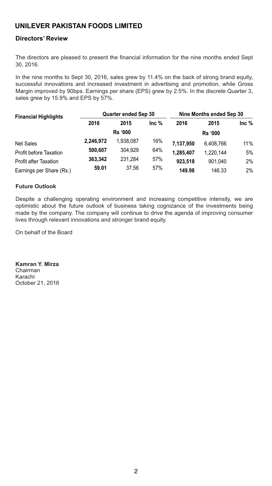### **Directors' Review**

The directors are pleased to present the financial information for the nine months ended Sept 30, 2016.

In the nine months to Sept 30, 2016, sales grew by 11.4% on the back of strong brand equity, successful innovations and increased investment in advertising and promotion, while Gross Margin improved by 90bps. Earnings per share (EPS) grew by 2.5%. In the discrete Quarter 3, sales grew by 15.9% and EPS by 57%.

| <b>Financial Highlights</b>  | <b>Quarter ended Sep 30</b> |                |         | Nine Months ended Sep 30 |                |         |
|------------------------------|-----------------------------|----------------|---------|--------------------------|----------------|---------|
|                              | 2016                        | 2015           | Inc $%$ | 2016                     | 2015           | Inc $%$ |
|                              |                             | <b>Rs '000</b> |         |                          | <b>Rs '000</b> |         |
| <b>Net Sales</b>             | 2,246,972                   | 1.938.087      | 16%     | 7.137.950                | 6.408.766      | 11%     |
| Profit before Taxation       | 500.607                     | 304.929        | 64%     | 1.285.407                | 1.220.144      | 5%      |
| <b>Profit after Taxation</b> | 363.342                     | 231.284        | 57%     | 923.518                  | 901.040        | 2%      |
| Earnings per Share (Rs.)     | 59.01                       | 37.56          | 57%     | 149.98                   | 146.33         | 2%      |

#### **Future Outlook**

Despite a challenging operating environment and increasing competitive intensity, we are optimistic about the future outlook of business taking cognizance of the investments being made by the company. The company will continue to drive the agenda of improving consumer lives through relevant innovations and stronger brand equity.

On behalf of the Board

**Kamran Y. Mirza** Chairman Karachi October 21, 2016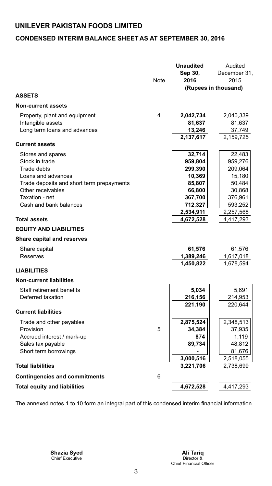# **CONDENSED INTERIM BALANCE SHEET AS AT SEPTEMBER 30, 2016**

|                                                                | Note | Unaudited<br>Sep 30,<br>2016 | Audited<br>December 31,<br>2015<br>(Rupees in thousand) |
|----------------------------------------------------------------|------|------------------------------|---------------------------------------------------------|
| <b>ASSETS</b>                                                  |      |                              |                                                         |
| <b>Non-current assets</b>                                      |      |                              |                                                         |
| Property, plant and equipment                                  | 4    | 2,042,734                    | 2,040,339                                               |
| Intangible assets                                              |      | 81,637                       | 81,637                                                  |
| Long term loans and advances                                   |      | 13,246                       | 37,749                                                  |
| <b>Current assets</b>                                          |      | 2,137,617                    | 2,159,725                                               |
| Stores and spares                                              |      | 32,714                       | 22,483                                                  |
| Stock in trade                                                 |      | 959,804                      | 959,276                                                 |
| Trade debts                                                    |      | 299,390                      | 209,064                                                 |
| Loans and advances                                             |      | 10,369                       | 15,180                                                  |
| Trade deposits and short term prepayments<br>Other receivables |      | 85,807<br>66,800             | 50,484<br>30,868                                        |
| Taxation - net                                                 |      | 367,700                      | 376,961                                                 |
| Cash and bank balances                                         |      | 712,327                      | 593,252                                                 |
|                                                                |      | 2,534,911                    | 2,257,568                                               |
| <b>Total assets</b>                                            |      | 4,672,528                    | 4,417,293                                               |
| <b>EQUITY AND LIABILITIES</b>                                  |      |                              |                                                         |
| <b>Share capital and reserves</b>                              |      |                              |                                                         |
| Share capital                                                  |      | 61,576                       | 61,576                                                  |
| Reserves                                                       |      | 1,389,246                    | 1,617,018                                               |
| <b>LIABILITIES</b>                                             |      | 1,450,822                    | 1,678,594                                               |
| <b>Non-current liabilities</b>                                 |      |                              |                                                         |
| Staff retirement benefits                                      |      | 5,034                        | 5,691                                                   |
| Deferred taxation                                              |      | 216,156                      | 214,953                                                 |
|                                                                |      | 221,190                      | 220,644                                                 |
| <b>Current liabilities</b>                                     |      |                              |                                                         |
| Trade and other payables                                       |      | 2,875,524                    | 2,348,513                                               |
| Provision                                                      | 5    | 34,384                       | 37,935                                                  |
| Accrued interest / mark-up                                     |      | 874                          | 1,119                                                   |
| Sales tax payable                                              |      | 89,734                       | 48,812                                                  |
| Short term borrowings                                          |      | 3,000,516                    | 81,676<br>2,518,055                                     |
| <b>Total liabilities</b>                                       |      | 3,221,706                    | 2,738,699                                               |
| <b>Contingencies and commitments</b>                           | 6    |                              |                                                         |
| <b>Total equity and liabilities</b>                            |      | 4,672,528                    | 4,417,293                                               |

The annexed notes 1 to 10 form an integral part of this condensed interim financial information.

Chief Executive Director & **Shazia Syed Ali Tariq**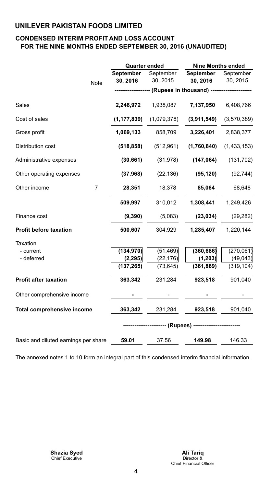## **CONDENSED INTERIM PROFIT AND LOSS ACCOUNT FOR THE NINE MONTHS ENDED SEPTEMBER 30, 2016 (UNAUDITED)**

|                                      |      | <b>Quarter ended</b>   |                             | <b>Nine Months ended</b>                 |                                                                 |  |  |
|--------------------------------------|------|------------------------|-----------------------------|------------------------------------------|-----------------------------------------------------------------|--|--|
|                                      | Note | September<br>30, 2016  | 30, 2015                    | September September<br>30, 2016 30, 2015 | September                                                       |  |  |
|                                      |      |                        |                             |                                          | ------------------- (Rupees in thousand) ---------------------- |  |  |
| Sales                                |      |                        | <b>2,246,972</b> 1,938,087  | 7,137,950                                | 6,408,766                                                       |  |  |
| Cost of sales                        |      |                        | $(1,177,839)$ $(1,079,378)$ | (3,911,549)                              | (3,570,389)                                                     |  |  |
| Gross profit                         |      | 1,069,133              | 858,709                     |                                          | 3,226,401 2,838,377                                             |  |  |
| Distribution cost                    |      | (518, 858)             | (512, 961)                  | (1,760,840)                              | (1,433,153)                                                     |  |  |
| Administrative expenses              |      | (30, 661)              | (31, 978)                   | (147, 064)                               | (131, 702)                                                      |  |  |
| Other operating expenses             |      | (37, 968)              | (22, 136)                   | (95, 120)                                | (92, 744)                                                       |  |  |
| Other income                         | 7    | 28,351                 | 18,378                      | 85,064                                   | 68,648                                                          |  |  |
|                                      |      | 509,997                | 310,012                     |                                          | 1,308,441 1,249,426                                             |  |  |
| Finance cost                         |      | (9, 390)               | (5,083)                     | (23, 034)                                | (29, 282)                                                       |  |  |
| <b>Profit before taxation</b>        |      | 500,607                | 304,929                     |                                          | 1,285,407 1,220,144                                             |  |  |
| <b>Taxation</b>                      |      |                        |                             |                                          |                                                                 |  |  |
| - current                            |      | (134, 970)             | (51, 469)                   | (360, 686)                               | (270, 061)                                                      |  |  |
| - deferred                           |      | (2, 295)<br>(137, 265) | (22, 176)<br>(73, 645)      | (1, 203)<br>(361, 889)                   | (49, 043)<br>(319, 104)                                         |  |  |
|                                      |      |                        |                             |                                          |                                                                 |  |  |
| <b>Profit after taxation</b>         |      | 363,342                | 231,284                     | 923,518                                  | 901,040                                                         |  |  |
| Other comprehensive income           |      |                        |                             |                                          |                                                                 |  |  |
| <b>Total comprehensive income</b>    |      | 363,342                | 231,284                     | <b>923,518</b> 901,040                   |                                                                 |  |  |
|                                      |      |                        |                             |                                          |                                                                 |  |  |
| Basic and diluted earnings per share |      | 59.01                  | 37.56                       | 149.98                                   | 146.33                                                          |  |  |

The annexed notes 1 to 10 form an integral part of this condensed interim financial information.

 Chief Executive **Shazia Syed**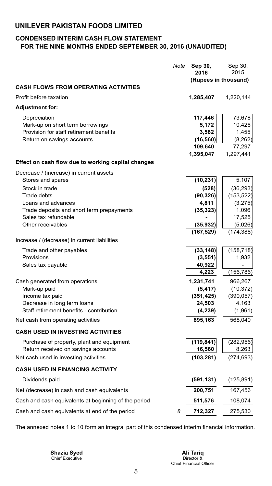# **CONDENSED INTERIM CASH FLOW STATEMENT FOR THE NINE MONTHS ENDED SEPTEMBER 30, 2016 (UNAUDITED)**

|                                                                             | Note | Sep 30,<br>2016      | Sep 30,<br>2015 |
|-----------------------------------------------------------------------------|------|----------------------|-----------------|
|                                                                             |      | (Rupees in thousand) |                 |
| <b>CASH FLOWS FROM OPERATING ACTIVITIES</b>                                 |      |                      |                 |
| Profit before taxation                                                      |      | 1,285,407            | 1,220,144       |
| <b>Adjustment for:</b>                                                      |      |                      |                 |
|                                                                             |      |                      |                 |
| Depreciation                                                                |      | 117,446<br>5,172     | 73,678          |
| Mark-up on short term borrowings<br>Provision for staff retirement benefits |      | 3,582                | 10,426<br>1,455 |
| Return on savings accounts                                                  |      | (16, 560)            | (8, 262)        |
|                                                                             |      | 109,640              | 77,297          |
|                                                                             |      | 1,395,047            | 1,297,441       |
| Effect on cash flow due to working capital changes                          |      |                      |                 |
| Decrease / (increase) in current assets                                     |      |                      |                 |
| Stores and spares                                                           |      | (10, 231)            | 5,107           |
| Stock in trade                                                              |      | (528)                | (36, 293)       |
| Trade debts                                                                 |      | (90, 326)            | (153, 522)      |
| Loans and advances                                                          |      | 4,811                | (3,275)         |
| Trade deposits and short term prepayments                                   |      | (35, 323)            | 1,096           |
| Sales tax refundable                                                        |      |                      | 17,525          |
| Other receivables                                                           |      | (35, 932)            | (5,026)         |
|                                                                             |      | (167, 529)           | (174, 388)      |
| Increase / (decrease) in current liabilities                                |      |                      |                 |
| Trade and other payables                                                    |      | (33, 148)            | (158, 718)      |
| Provisions                                                                  |      | (3, 551)             | 1,932           |
| Sales tax payable                                                           |      | 40,922               |                 |
|                                                                             |      | 4,223                | (156, 786)      |
| Cash generated from operations                                              |      | 1,231,741            | 966,267         |
| Mark-up paid                                                                |      | (5, 417)             | (10, 372)       |
| Income tax paid                                                             |      | (351, 425)           | (390, 057)      |
| Decrease in long term loans                                                 |      | 24,503               | 4,163           |
| Staff retirement benefits - contribution                                    |      | (4, 239)             | (1,961)         |
| Net cash from operating activities                                          |      | 895,163              | 568,040         |
| <b>CASH USED IN INVESTING ACTIVITIES</b>                                    |      |                      |                 |
| Purchase of property, plant and equipment                                   |      | (119, 841)           | (282, 956)      |
| Return received on savings accounts                                         |      | 16,560               | 8,263           |
| Net cash used in investing activities                                       |      | (103, 281)           | (274, 693)      |
| <b>CASH USED IN FINANCING ACTIVITY</b>                                      |      |                      |                 |
| Dividends paid                                                              |      | (591, 131)           | (125, 891)      |
| Net (decrease) in cash and cash equivalents                                 |      | 200,751              | 167,456         |
| Cash and cash equivalents at beginning of the period                        |      | 511,576              | 108,074         |
| Cash and cash equivalents at end of the period                              | 8    | 712,327              | 275,530         |

The annexed notes 1 to 10 form an integral part of this condensed interim financial information.

 Chief Executive **Shazia Syed**

Director & Chief Financial Officer **Ali Tariq**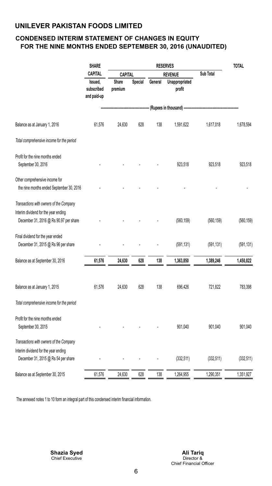## **CONDENSED INTERIM STATEMENT OF CHANGES IN EQUITY FOR THE NINE MONTHS ENDED SEPTEMBER 30, 2016 (UNAUDITED)**

|                                           | <b>SHARE</b>                                           |                  |         |         | <b>RESERVES</b>                                  |            | <b>TOTAL</b> |
|-------------------------------------------|--------------------------------------------------------|------------------|---------|---------|--------------------------------------------------|------------|--------------|
|                                           | <b>CAPITAL</b><br>Issued,<br>subscribed<br>and paid-up | CAPITAL          |         |         | <b>REVENUE</b>                                   | Sub Total  |              |
|                                           |                                                        | Share<br>premium | Special | General | Unappropriated<br>profit                         |            |              |
|                                           |                                                        |                  |         |         | -- (Rupees in thousand) ------------------------ |            |              |
| Balance as at January 1, 2016             | 61,576                                                 | 24,630           | 628     | 138     | 1,591,622                                        | 1,617,018  | 1,678,594    |
| Total comprehensive income for the period |                                                        |                  |         |         |                                                  |            |              |
| Profit for the nine months ended          |                                                        |                  |         |         |                                                  |            |              |
| September 30, 2016                        |                                                        |                  |         |         | 923,518                                          | 923,518    | 923,518      |
| Other comprehensive income for            |                                                        |                  |         |         |                                                  |            |              |
| the nine months ended September 30, 2016  |                                                        |                  |         |         |                                                  |            |              |
| Transactions with owners of the Company   |                                                        |                  |         |         |                                                  |            |              |
| Interim dividend for the year ending      |                                                        |                  |         |         |                                                  |            |              |
| December 31, 2016 @ Rs 90.97 per share    |                                                        |                  |         |         | (560, 159)                                       | (560, 159) | (560, 159)   |
| Final dividend for the year ended         |                                                        |                  |         |         |                                                  |            |              |
| December 31, 2015 @ Rs 96 per share       |                                                        |                  |         |         | (591, 131)                                       | (591, 131) | (591, 131)   |
| Balance as at September 30, 2016          | 61,576                                                 | 24,630           | 628     | 138     | 1,363,850                                        | 1,389,246  | 1,450,822    |
|                                           |                                                        |                  |         |         |                                                  |            |              |
| Balance as at January 1, 2015             | 61,576                                                 | 24,630           | 628     | 138     | 696,426                                          | 721,822    | 783,398      |
| Total comprehensive income for the period |                                                        |                  |         |         |                                                  |            |              |
| Profit for the nine months ended          |                                                        |                  |         |         |                                                  |            |              |
| September 30, 2015                        |                                                        |                  |         |         | 901,040                                          | 901,040    | 901,040      |
| Transactions with owners of the Company   |                                                        |                  |         |         |                                                  |            |              |
| Interim dividend for the year ending      |                                                        |                  |         |         |                                                  |            |              |
| December 31, 2015 @ Rs 54 per share       |                                                        |                  |         |         | (332, 511)                                       | (332, 511) | (332, 511)   |
| Balance as at September 30, 2015          | 61,576                                                 | 24,630           | 628     | 138     | 1,264,955                                        | 1,290,351  | 1,351,927    |

The annexed notes 1 to 10 form an integral part of this condensed interim financial information.

 Chief Executive **Shazia Syed**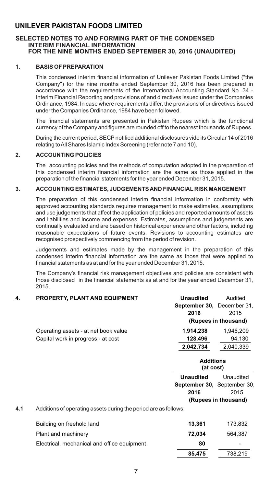#### **SELECTED NOTES TO AND FORMING PART OF THE CONDENSED INTERIM FINANCIAL INFORMATION FOR THE NINE MONTHS ENDED SEPTEMBER 30, 2016 (UNAUDITED)**

#### **1. BASIS OF PREPARATION**

This condensed interim financial information of Unilever Pakistan Foods Limited ("the Company") for the nine months ended September 30, 2016 has been prepared in accordance with the requirements of the International Accounting Standard No. 34 - Interim Financial Reporting and provisions of and directives issued under the Companies Ordinance, 1984. In case where requirements differ, the provisions of or directives issued under the Companies Ordinance, 1984 have been followed.

The financial statements are presented in Pakistan Rupees which is the functional currency of the Company and figures are rounded off to the nearest thousands of Rupees.

During the current period, SECPnotified additional disclosures vide its Circular 14 of 2016 relating to All Shares Islamic Index Screening (refer note 7 and 10).

#### **2. ACCOUNTING POLICIES**

The accounting policies and the methods of computation adopted in the preparation of this condensed interim financial information are the same as those applied in the preparation of the financial statements for the year ended December 31, 2015.

#### **3. ACCOUNTING ESTIMATES, JUDGEMENTS AND FINANCIAL RISK MANGEMENT**

The preparation of this condensed interim financial information in conformity with approved accounting standards requires management to make estimates, assumptions and use judgements that affect the application of policies and reported amounts of assets and liabilities and income and expenses. Estimates, assumptions and judgements are continually evaluated and are based on historical experience and other factors, including reasonable expectations of future events. Revisions to accounting estimates are recognised prospectively commencing from the period of revision.

Judgements and estimates made by the management in the preparation of this condensed interim financial information are the same as those that were applied to financial statements as at and for the year ended December 31, 2015.

The Company's financial risk management objectives and policies are consistent with those disclosed in the financial statements as at and for the year ended December 31, 2015.

# **4. PROPERTY, PLANT AND EQUIPMENT Unaudited** Audited **September 30,** December 31, **2016** 2015 **(Rupees in thousand)** Operating assets - at net book value **1,914,238** 1,946,209 Capital work in progress - at cost **128,496** 94,130 **2,042,734** 2,040,339

**4.1** Additions of operating assets during the period are as follows:

| Building on freehold land                   | 13.361 | 173.832 |
|---------------------------------------------|--------|---------|
| Plant and machinery                         | 72.034 | 564.387 |
| Electrical, mechanical and office equipment | 80     | -       |
|                                             | 85,475 | 738,219 |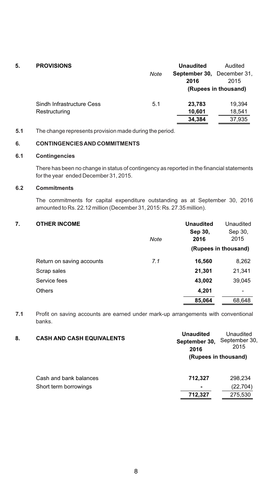| 5. | <b>PROVISIONS</b>         | Note | <b>Unaudited</b><br><b>September 30.</b> December 31.<br>2016 | Audited<br>2015<br>(Rupees in thousand) |
|----|---------------------------|------|---------------------------------------------------------------|-----------------------------------------|
|    | Sindh Infrastructure Cess | 5.1  | 23,783                                                        | 19,394                                  |
|    | Restructuring             |      | 10,601                                                        | 18,541                                  |
|    |                           |      | 34,384                                                        | 37,935                                  |
|    |                           |      |                                                               |                                         |

#### **5.1** The change represents provision made during the period.

### **6. CONTINGENCIES AND COMMITMENTS**

#### **6.1 Contingencies**

There has been no change in status of contingency as reported in the financial statements for the year ended December 31, 2015.

#### **6.2 Commitments**

The commitments for capital expenditure outstanding as at September 30, 2016 amounted to Rs. 22.12 million (December 31, 2015: Rs. 27.35 million).

> **Sep 30, 2016**

 Sep 30, 2015

# **7. OTHER INCOME Unaudited** Unaudited *Note*

|                           |     | (Rupees in thousand) |                          |
|---------------------------|-----|----------------------|--------------------------|
| Return on saving accounts | 7.1 | 16,560               | 8,262                    |
| Scrap sales               |     | 21,301               | 21,341                   |
| Service fees              |     | 43,002               | 39,045                   |
| <b>Others</b>             |     | 4,201                | $\overline{\phantom{a}}$ |
|                           |     | 85,064               | 68.648                   |

**7.1** Profit on saving accounts are earned under mark-up arrangements with conventional banks.

| 8. | <b>CASH AND CASH EQUIVALENTS</b> | <b>Unaudited</b><br>September 30,<br>2016 | Unaudited<br>September 30,<br>2015 |
|----|----------------------------------|-------------------------------------------|------------------------------------|
|    |                                  |                                           | (Rupees in thousand)               |
|    | Cash and bank balances           | 712,327                                   | 298,234                            |
|    | Short term borrowings            | $\blacksquare$                            | (22, 704)                          |
|    |                                  | 712,327                                   | 275,530                            |
|    |                                  |                                           |                                    |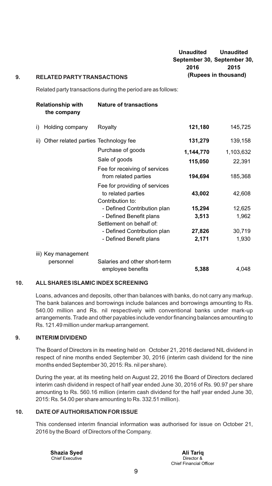#### **Unaudited September 30, September 30, 2016 (Rupees in thousand) Unaudited 2015**

#### **9. RELATED PARTYTRANSACTIONS**

Related party transactions during the period are as follows:

|    | <b>Relationship with</b><br>the company  | <b>Nature of transactions</b>                                           |           |           |  |  |
|----|------------------------------------------|-------------------------------------------------------------------------|-----------|-----------|--|--|
| i) | Holding company                          | Royalty                                                                 | 121,180   | 145,725   |  |  |
|    | ii) Other related parties Technology fee |                                                                         | 131,279   | 139,158   |  |  |
|    |                                          | Purchase of goods                                                       | 1,144,770 | 1,103,632 |  |  |
|    |                                          | Sale of goods                                                           | 115,050   | 22,391    |  |  |
|    |                                          | Fee for receiving of services<br>from related parties                   | 194,694   | 185,368   |  |  |
|    |                                          | Fee for providing of services<br>to related parties<br>Contribution to: | 43,002    | 42,608    |  |  |
|    |                                          | - Defined Contribution plan                                             | 15,294    | 12,625    |  |  |
|    |                                          | - Defined Benefit plans<br>Settlement on behalf of:                     | 3,513     | 1,962     |  |  |
|    |                                          | - Defined Contribution plan                                             | 27,826    | 30,719    |  |  |
|    |                                          | - Defined Benefit plans                                                 | 2,171     | 1,930     |  |  |
|    | iii) Key management                      |                                                                         |           |           |  |  |
|    | personnel                                | Salaries and other short-term<br>employee benefits                      | 5,388     | 4,048     |  |  |
|    |                                          |                                                                         |           |           |  |  |

#### **10. ALLSHARES ISLAMIC INDEX SCREENING**

Loans, advances and deposits, other than balances with banks, do not carry any markup. The bank balances and borrowings include balances and borrowings amounting to Rs. 540.00 million and Rs. nil respectively with conventional banks under mark-up arrangements. Trade and other payables include vendor financing balances amounting to Rs. 121.49 million under markup arrangement.

#### **9. INTERIM DIVIDEND**

The Board of Directors in its meeting held on October 21, 2016 declared NIL dividend in respect of nine months ended September 30, 2016 (interim cash dividend for the nine months ended September 30, 2015: Rs. nil per share).

During the year, at its meeting held on August 22, 2016 the Board of Directors declared interim cash dividend in respect of half year ended June 30, 2016 of Rs. 90.97 per share amounting to Rs. 560.16 million (interim cash dividend for the half year ended June 30, 2015: Rs. 54.00 per share amounting to Rs. 332.51 million).

#### **10. DATE OF AUTHORISATION FOR ISSUE**

This condensed interim financial information was authorised for issue on October 21, 2016 by the Board of Directors of the Company.

 Chief Executive **Shazia Syed**

Director & Chief Financial Officer **Ali Tariq**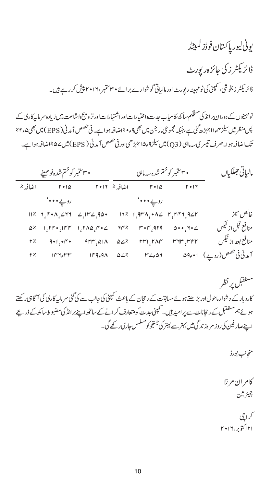ر ن ڈز ڈاز ہ ررٹ ڈاز ، ررٹ ا ور ارے ا٣٠ ، ٢٠١٦ ر ۔

نومہینوں کے دورا ن بر انڈ کی مشخّکم سا کھ ،کامیاب جد ت داختیارا ت اوراشتہارا ت اورتر و پنج داشاعت میں زیادہ سر ماہیرکاری کے پس منظر میں سیلز ۱۱٫۴٪ بڑھ گئ ہے،جبکہ مجموعی مار جن میں بھی۹ء میں اضافہ ہوا ہے۔ فی حصص آبد فی ( EPS) میں بھی۵۔۲ تک اضافہ ہوا۔صرف تیسر ک سہ ماہی ( Q3) میں سیلز 4ء ۱۵٪بڑھی اور فی حصص آمدنی ( EPS) میں ۵٪اضافہ ہوا ہے۔

| • ۳۰ ستمبر کوختم شده نومہینے |                |                                        |                  | مالياتي جھلکياں      |                                                                                                                                                                                                                                                                    |
|------------------------------|----------------|----------------------------------------|------------------|----------------------|--------------------------------------------------------------------------------------------------------------------------------------------------------------------------------------------------------------------------------------------------------------------|
| $r \cdot \alpha$             |                |                                        | $r \cdot \alpha$ | $F+14$               |                                                                                                                                                                                                                                                                    |
|                              |                |                                        |                  |                      |                                                                                                                                                                                                                                                                    |
|                              |                |                                        |                  |                      | خالص سيلز                                                                                                                                                                                                                                                          |
|                              |                |                                        |                  |                      | منافع قبل از ٹیکس                                                                                                                                                                                                                                                  |
|                              |                |                                        |                  |                      | منافع بعداز ٹیکس                                                                                                                                                                                                                                                   |
|                              |                |                                        |                  |                      | آمدنی فی خصص(روپے) ۱۰+۵۹ م                                                                                                                                                                                                                                         |
|                              | اضافہ %<br>r % | $\Delta^2 = 1.575 \cdot 1000 - 1.5420$ |                  | اضافہ ۱۶ ۲۰۱۲<br>イドン | • ۳۰ ستمبر کو ختم شده سه ماہی<br>$r^*\cdot r$ are $\omega^*\cdot r^*\cdot \angle$<br>$r^2$ 9+1,+ $r^2$ 9rm, and azz rm, man man, mer<br>$10^{\circ}$ y <sub>e</sub> rr $10^{\circ}$ q <sub>e</sub> q $\Lambda$ $\Delta Z$ $K$ $K$ $\angle$ <sub>e</sub> $\Delta Y$ |

مستقبل پر نظر کاروبار کے د شوار ماحول اور بڑھتے ہوئے مسابقت کے رحجان کے باعث سمپنی کی حانب سے کی گئی سرمایہ کارک کی آگاہی رکھتے ہوئے ہم مستقبل کے رحجانات سے پر امید ہیں۔ سمپنی جدت کو متعارف کر انے کے ساتھ اپنے بر انڈ کی مضبوط ساکھ کے ذریعے اپنےصار فین کی روز مر ہ<sup>ز</sup> ند گی میں بہتر سے بہتر کی جستجو کومسلسل جاری رکھے گی۔

منجانب بورڈ

كامران مرزا چيئر ملن

کراچی ٢١ ا ، ٢٠١٦